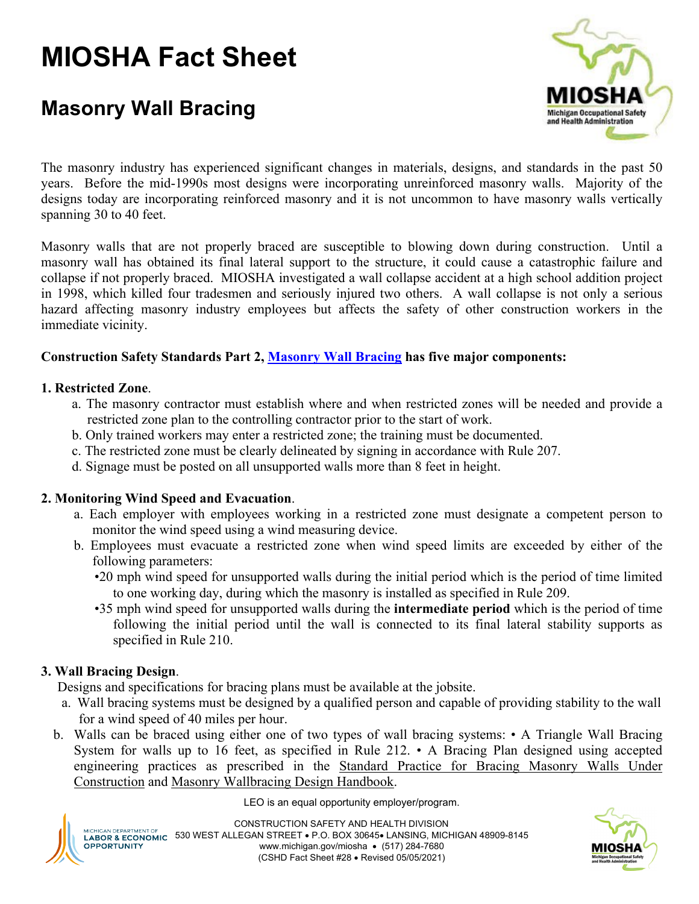# **MIOSHA Fact Sheet**

## **Masonry Wall Bracing**



The masonry industry has experienced significant changes in materials, designs, and standards in the past 50 years. Before the mid-1990s most designs were incorporating unreinforced masonry walls. Majority of the designs today are incorporating reinforced masonry and it is not uncommon to have masonry walls vertically spanning 30 to 40 feet.

Masonry walls that are not properly braced are susceptible to blowing down during construction. Until a masonry wall has obtained its final lateral support to the structure, it could cause a catastrophic failure and collapse if not properly braced. MIOSHA investigated a wall collapse accident at a high school addition project in 1998, which killed four tradesmen and seriously injured two others. A wall collapse is not only a serious hazard affecting masonry industry employees but affects the safety of other construction workers in the immediate vicinity.

### **Construction Safety Standards Part 2, [Masonry Wall Bracing](https://www.michigan.gov/documents/CIS_WSH_part_2_47091_7.pdf) has five major components:**

#### **1. Restricted Zone**.

- a. The masonry contractor must establish where and when restricted zones will be needed and provide a restricted zone plan to the controlling contractor prior to the start of work.
- b. Only trained workers may enter a restricted zone; the training must be documented.
- c. The restricted zone must be clearly delineated by signing in accordance with Rule 207.
- d. Signage must be posted on all unsupported walls more than 8 feet in height.

#### **2. Monitoring Wind Speed and Evacuation**.

- a. Each employer with employees working in a restricted zone must designate a competent person to monitor the wind speed using a wind measuring device.
- b. Employees must evacuate a restricted zone when wind speed limits are exceeded by either of the following parameters:
	- •20 mph wind speed for unsupported walls during the initial period which is the period of time limited to one working day, during which the masonry is installed as specified in Rule 209.
	- •35 mph wind speed for unsupported walls during the **intermediate period** which is the period of time following the initial period until the wall is connected to its final lateral stability supports as specified in Rule 210.

#### **3. Wall Bracing Design**.

Designs and specifications for bracing plans must be available at the jobsite.

- a. Wall bracing systems must be designed by a qualified person and capable of providing stability to the wall for a wind speed of 40 miles per hour.
- b. Walls can be braced using either one of two types of wall bracing systems: A Triangle Wall Bracing System for walls up to 16 feet, as specified in Rule 212. • A Bracing Plan designed using accepted engineering practices as prescribed in the Standard Practice for Bracing Masonry Walls Under Construction and Masonry Wallbracing Design Handbook.





CONSTRUCTION SAFETY AND HEALTH DIVISION **MICHIGAN DEPARTMENT OF** MICHIGAN DEPARTIMENT OF 530 WEST ALLEGAN STREET • P.O. BOX 30645• LANSING, MICHIGAN 48909-8145 **OPPORTUNITY** www.michigan.gov/miosha • (517) 284-7680 (CSHD Fact Sheet #28 • Revised 05/05/2021)